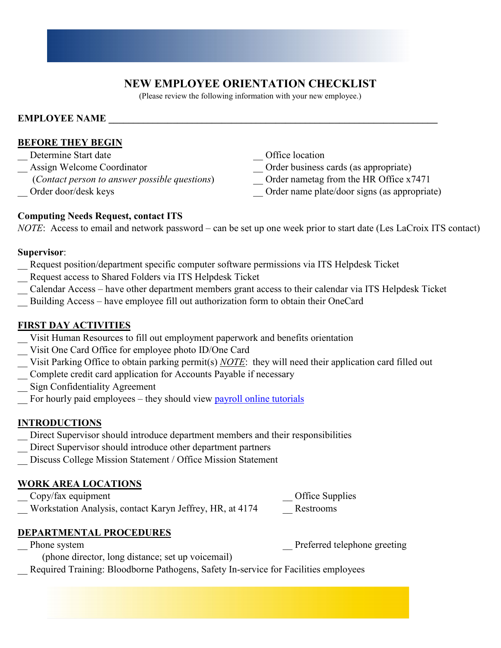## **NEW EMPLOYEE ORIENTATION CHECKLIST**

(Please review the following information with your new employee.)

#### **EMPLOYEE NAME**

#### **BEFORE THEY BEGIN**

- Determine Start date **Latermine Start date Office location**
- 
- (*Contact person to answer possible questions*) \_\_ Order nametag from the HR Office x7471
- 
- 
- Assign Welcome Coordinator **Coordination** Coordinator **Coordination** Coordinator **Coordination** Coordinator **Coordination** Coordinator **Coordination** Coordinator **Coordination** Coordination Coordination Coordination Coordi
	-
- Order door/desk keys **Drame plate/door signs (as appropriate)** Order name plate/door signs (as appropriate)

## **Computing Needs Request, contact ITS**

*NOTE*: Access to email and network password – can be set up one week prior to start date (Les LaCroix ITS contact)

#### **Supervisor**:

- Request position/department specific computer software permissions via ITS Helpdesk Ticket
- \_\_ Request access to Shared Folders via ITS Helpdesk Ticket
- \_\_ Calendar Access have other department members grant access to their calendar via ITS Helpdesk Ticket
- Building Access have employee fill out authorization form to obtain their OneCard

### **FIRST DAY ACTIVITIES**

- Visit Human Resources to fill out employment paperwork and benefits orientation
- Visit One Card Office for employee photo ID/One Card
- \_\_ Visit Parking Office to obtain parking permit(s) *NOTE*: they will need their application card filled out
- \_\_ Complete credit card application for Accounts Payable if necessary
- \_\_ Sign Confidentiality Agreement
- \_\_ For hourly paid employees they should view [payroll online tutorials](https://apps.carleton.edu/campus/business/payroll/timecard-tutorials/)

#### **INTRODUCTIONS**

- Direct Supervisor should introduce department members and their responsibilities
- \_\_ Direct Supervisor should introduce other department partners
- \_\_ Discuss College Mission Statement / Office Mission Statement

#### **WORK AREA LOCATIONS**

- \_\_ Copy/fax equipment \_\_ Office Supplies
- Workstation Analysis, contact Karyn Jeffrey, HR, at 4174 Restrooms

## **DEPARTMENTAL PROCEDURES**

Phone system **Preferred** telephone greeting

(phone director, long distance; set up voicemail)

Required Training: Bloodborne Pathogens, Safety In-service for Facilities employees